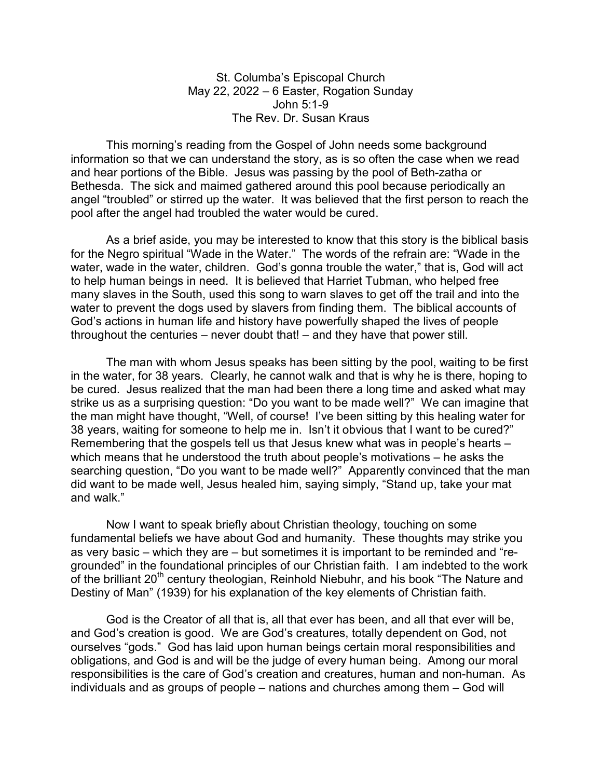St. Columba's Episcopal Church May 22, 2022 – 6 Easter, Rogation Sunday John 5:1-9 The Rev. Dr. Susan Kraus

 This morning's reading from the Gospel of John needs some background information so that we can understand the story, as is so often the case when we read and hear portions of the Bible. Jesus was passing by the pool of Beth-zatha or Bethesda. The sick and maimed gathered around this pool because periodically an angel "troubled" or stirred up the water. It was believed that the first person to reach the pool after the angel had troubled the water would be cured.

As a brief aside, you may be interested to know that this story is the biblical basis for the Negro spiritual "Wade in the Water." The words of the refrain are: "Wade in the water, wade in the water, children. God's gonna trouble the water," that is, God will act to help human beings in need. It is believed that Harriet Tubman, who helped free many slaves in the South, used this song to warn slaves to get off the trail and into the water to prevent the dogs used by slavers from finding them. The biblical accounts of God's actions in human life and history have powerfully shaped the lives of people throughout the centuries – never doubt that! – and they have that power still.

 The man with whom Jesus speaks has been sitting by the pool, waiting to be first in the water, for 38 years. Clearly, he cannot walk and that is why he is there, hoping to be cured. Jesus realized that the man had been there a long time and asked what may strike us as a surprising question: "Do you want to be made well?" We can imagine that the man might have thought, "Well, of course! I've been sitting by this healing water for 38 years, waiting for someone to help me in. Isn't it obvious that I want to be cured?" Remembering that the gospels tell us that Jesus knew what was in people's hearts – which means that he understood the truth about people's motivations – he asks the searching question, "Do you want to be made well?" Apparently convinced that the man did want to be made well, Jesus healed him, saying simply, "Stand up, take your mat and walk."

 Now I want to speak briefly about Christian theology, touching on some fundamental beliefs we have about God and humanity. These thoughts may strike you as very basic – which they are – but sometimes it is important to be reminded and "regrounded" in the foundational principles of our Christian faith. I am indebted to the work of the brilliant 20<sup>th</sup> century theologian, Reinhold Niebuhr, and his book "The Nature and Destiny of Man" (1939) for his explanation of the key elements of Christian faith.

God is the Creator of all that is, all that ever has been, and all that ever will be, and God's creation is good. We are God's creatures, totally dependent on God, not ourselves "gods." God has laid upon human beings certain moral responsibilities and obligations, and God is and will be the judge of every human being. Among our moral responsibilities is the care of God's creation and creatures, human and non-human. As individuals and as groups of people – nations and churches among them – God will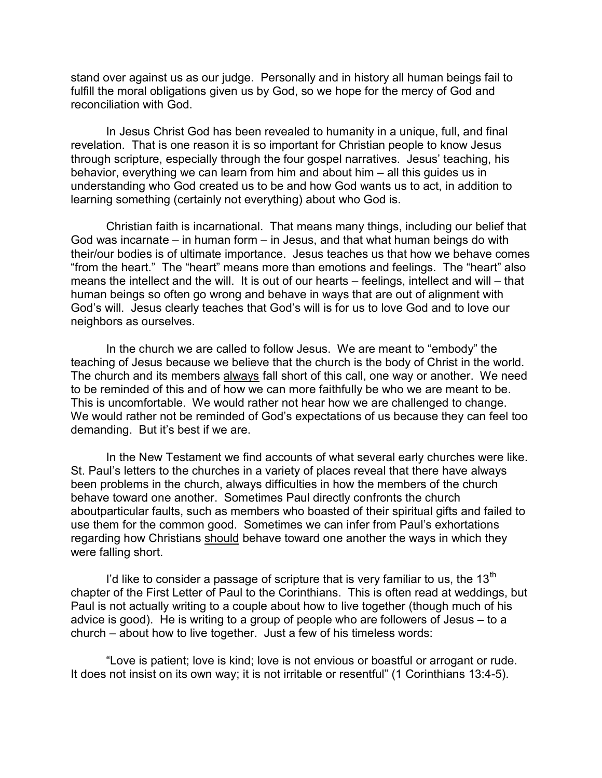stand over against us as our judge. Personally and in history all human beings fail to fulfill the moral obligations given us by God, so we hope for the mercy of God and reconciliation with God.

In Jesus Christ God has been revealed to humanity in a unique, full, and final revelation. That is one reason it is so important for Christian people to know Jesus through scripture, especially through the four gospel narratives. Jesus' teaching, his behavior, everything we can learn from him and about him – all this guides us in understanding who God created us to be and how God wants us to act, in addition to learning something (certainly not everything) about who God is.

Christian faith is incarnational. That means many things, including our belief that God was incarnate – in human form – in Jesus, and that what human beings do with their/our bodies is of ultimate importance. Jesus teaches us that how we behave comes "from the heart." The "heart" means more than emotions and feelings. The "heart" also means the intellect and the will. It is out of our hearts – feelings, intellect and will – that human beings so often go wrong and behave in ways that are out of alignment with God's will. Jesus clearly teaches that God's will is for us to love God and to love our neighbors as ourselves.

In the church we are called to follow Jesus. We are meant to "embody" the teaching of Jesus because we believe that the church is the body of Christ in the world. The church and its members always fall short of this call, one way or another. We need to be reminded of this and of how we can more faithfully be who we are meant to be. This is uncomfortable. We would rather not hear how we are challenged to change. We would rather not be reminded of God's expectations of us because they can feel too demanding. But it's best if we are.

In the New Testament we find accounts of what several early churches were like. St. Paul's letters to the churches in a variety of places reveal that there have always been problems in the church, always difficulties in how the members of the church behave toward one another. Sometimes Paul directly confronts the church aboutparticular faults, such as members who boasted of their spiritual gifts and failed to use them for the common good. Sometimes we can infer from Paul's exhortations regarding how Christians should behave toward one another the ways in which they were falling short.

I'd like to consider a passage of scripture that is very familiar to us, the  $13<sup>th</sup>$ chapter of the First Letter of Paul to the Corinthians. This is often read at weddings, but Paul is not actually writing to a couple about how to live together (though much of his advice is good). He is writing to a group of people who are followers of Jesus – to a church – about how to live together. Just a few of his timeless words:

"Love is patient; love is kind; love is not envious or boastful or arrogant or rude. It does not insist on its own way; it is not irritable or resentful" (1 Corinthians 13:4-5).